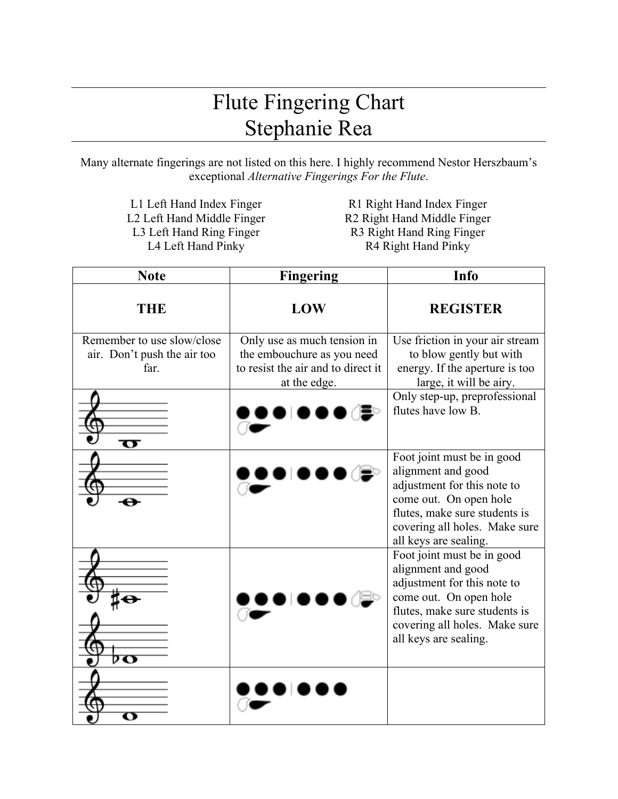## Flute Fingering Chart Stephanie Rea

Many alternate fingerings are not listed on this here. I highly recommend Nestor Herszbaum's exceptional *Alternative Fingerings For the Flute*.

L1 Left Hand Index Finger<br>
L2 Left Hand Middle Finger<br>
R2 Right Hand Middle Finger<br>
R2 Right Hand Middle Finger

R2 Right Hand Middle Finger L3 Left Hand Ring Finger R3 Right Hand Ring Finger L4 Left Hand Pinky R4 Right Hand Pinky

| <b>Note</b>                                                       | <b>Fingering</b>                                                                                                | <b>Info</b>                                                                                                                                                                                          |
|-------------------------------------------------------------------|-----------------------------------------------------------------------------------------------------------------|------------------------------------------------------------------------------------------------------------------------------------------------------------------------------------------------------|
| THE                                                               | LOW                                                                                                             | <b>REGISTER</b>                                                                                                                                                                                      |
| Remember to use slow/close<br>air. Don't push the air too<br>far. | Only use as much tension in<br>the embouchure as you need<br>to resist the air and to direct it<br>at the edge. | Use friction in your air stream<br>to blow gently but with<br>energy. If the aperture is too<br>large, it will be airy.<br>Only step-up, preprofessional<br>flutes have low B.                       |
| ㅠ                                                                 |                                                                                                                 |                                                                                                                                                                                                      |
|                                                                   |                                                                                                                 | Foot joint must be in good<br>alignment and good<br>adjustment for this note to<br>come out. On open hole<br>flutes, make sure students is<br>covering all holes. Make sure<br>all keys are sealing. |
| ÞΟ                                                                |                                                                                                                 | Foot joint must be in good<br>alignment and good<br>adjustment for this note to<br>come out. On open hole<br>flutes, make sure students is<br>covering all holes. Make sure<br>all keys are sealing. |
|                                                                   |                                                                                                                 |                                                                                                                                                                                                      |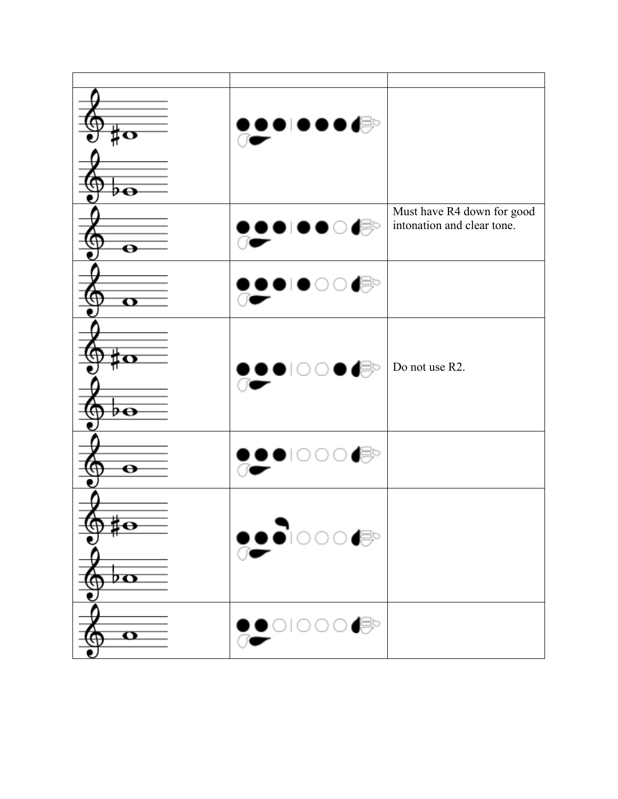| ‡Ο                                                              | $\bullet\bullet\bullet\bullet\bullet\bullet\text{!}\quad$                                                                                                                                                                                                                                                                                     |                                                          |
|-----------------------------------------------------------------|-----------------------------------------------------------------------------------------------------------------------------------------------------------------------------------------------------------------------------------------------------------------------------------------------------------------------------------------------|----------------------------------------------------------|
| ө                                                               | ∙⊜⊙<br>$\blacksquare$                                                                                                                                                                                                                                                                                                                         | Must have R4 down for good<br>intonation and clear tone. |
| $\mathbf \sigma$                                                | ◗▮●◯◯(⊜                                                                                                                                                                                                                                                                                                                                       |                                                          |
| ө                                                               | }॒●∣○○●d                                                                                                                                                                                                                                                                                                                                      | Do not use R2.                                           |
| $\boldsymbol{\Theta}$                                           | $\bullet$ looo                                                                                                                                                                                                                                                                                                                                |                                                          |
| $\mathbb{P}^{\mathbf{O}}$<br>Ψ<br>$\overline{p}$ $\overline{p}$ | $\bullet\bullet\bullet\circ\circ\bullet\bullet\bullet$                                                                                                                                                                                                                                                                                        |                                                          |
| $\overline{\mathbf{o}}$                                         | $\begin{picture}(20,20) \put(0,0){\line(1,0){100}} \put(15,0){\line(1,0){100}} \put(15,0){\line(1,0){100}} \put(15,0){\line(1,0){100}} \put(15,0){\line(1,0){100}} \put(15,0){\line(1,0){100}} \put(15,0){\line(1,0){100}} \put(15,0){\line(1,0){100}} \put(15,0){\line(1,0){100}} \put(15,0){\line(1,0){100}} \put(15,0){\line(1,0){100}} \$ |                                                          |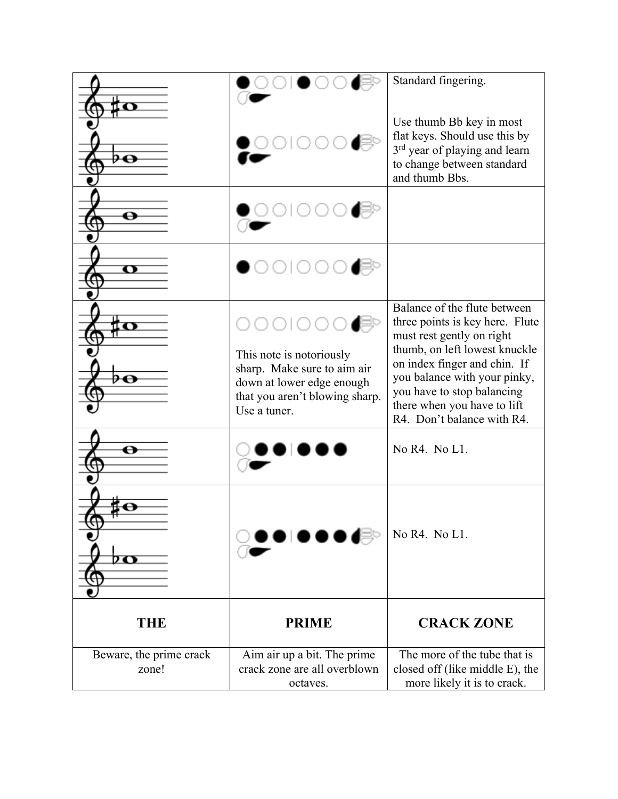|                                  |                                                                                                                                        | Standard fingering.                                                                                                                                                                                                                                                                      |
|----------------------------------|----------------------------------------------------------------------------------------------------------------------------------------|------------------------------------------------------------------------------------------------------------------------------------------------------------------------------------------------------------------------------------------------------------------------------------------|
| ⊖                                |                                                                                                                                        | Use thumb Bb key in most<br>flat keys. Should use this by<br>3 <sup>rd</sup> year of playing and learn<br>to change between standard<br>and thumb Bbs.                                                                                                                                   |
|                                  |                                                                                                                                        |                                                                                                                                                                                                                                                                                          |
| o                                | этоо                                                                                                                                   |                                                                                                                                                                                                                                                                                          |
| o                                | This note is notoriously<br>sharp. Make sure to aim air<br>down at lower edge enough<br>that you aren't blowing sharp.<br>Use a tuner. | Balance of the flute between<br>three points is key here. Flute<br>must rest gently on right<br>thumb, on left lowest knuckle<br>on index finger and chin. If<br>you balance with your pinky,<br>you have to stop balancing<br>there when you have to lift<br>R4. Don't balance with R4. |
|                                  |                                                                                                                                        | No R4. No L1.                                                                                                                                                                                                                                                                            |
| 7 съ                             | ◗◉≀                                                                                                                                    | No R4. No L1.                                                                                                                                                                                                                                                                            |
| <b>THE</b>                       | <b>PRIME</b>                                                                                                                           | <b>CRACK ZONE</b>                                                                                                                                                                                                                                                                        |
| Beware, the prime crack<br>zone! | Aim air up a bit. The prime<br>crack zone are all overblown<br>octaves.                                                                | The more of the tube that is<br>closed off (like middle E), the<br>more likely it is to crack.                                                                                                                                                                                           |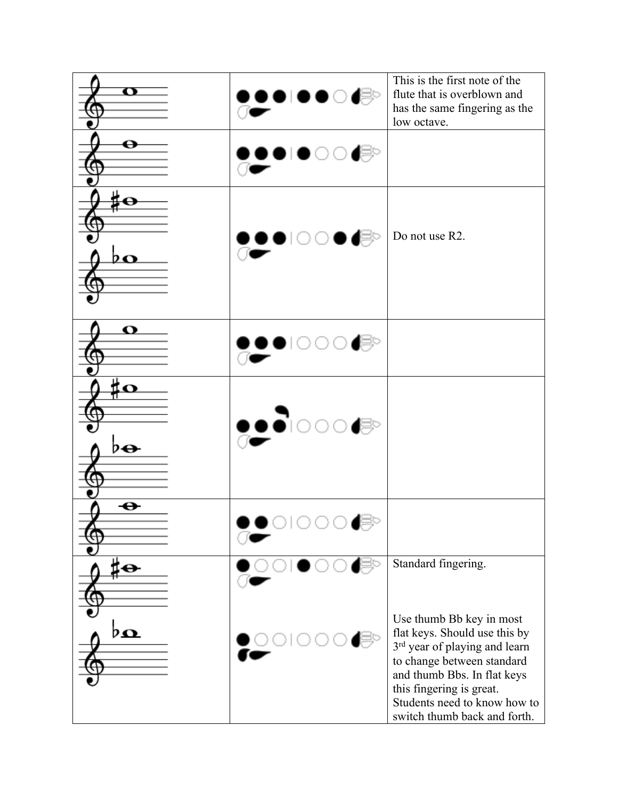| $\mathbf \sigma$ | $\mathbf{P}$ or<br>$\bullet$ Or | This is the first note of the<br>flute that is overblown and<br>has the same fingering as the<br>low octave.                                                                                                                                        |
|------------------|---------------------------------|-----------------------------------------------------------------------------------------------------------------------------------------------------------------------------------------------------------------------------------------------------|
|                  | ●।●○○(ᢟ                         |                                                                                                                                                                                                                                                     |
| þΩ               | <u>≬●</u> ●∣○○●d                | Do not use R2.                                                                                                                                                                                                                                      |
| O                | $\bullet$ 1000 $\bullet$        |                                                                                                                                                                                                                                                     |
| ËΩ<br>♭⊕         | <u>,</u> ∙∂∣⊙⊙⊙∉                |                                                                                                                                                                                                                                                     |
| ⊖                |                                 |                                                                                                                                                                                                                                                     |
| o                |                                 | Standard fingering.                                                                                                                                                                                                                                 |
| þΩ               |                                 | Use thumb Bb key in most<br>flat keys. Should use this by<br>3rd year of playing and learn<br>to change between standard<br>and thumb Bbs. In flat keys<br>this fingering is great.<br>Students need to know how to<br>switch thumb back and forth. |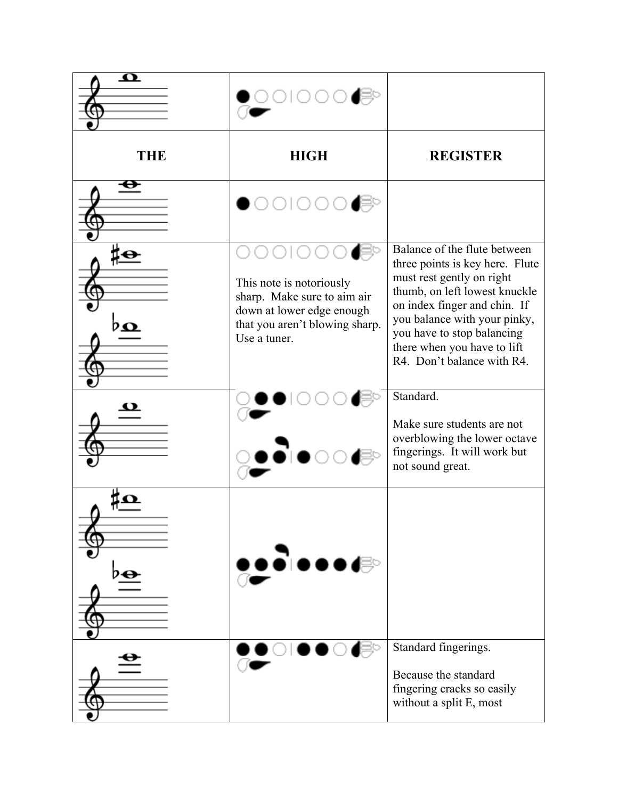| $\boldsymbol{\Omega}$ | 2100.                                                                                                                                  |                                                                                                                                                                                                                                                                                          |
|-----------------------|----------------------------------------------------------------------------------------------------------------------------------------|------------------------------------------------------------------------------------------------------------------------------------------------------------------------------------------------------------------------------------------------------------------------------------------|
| <b>THE</b>            | <b>HIGH</b>                                                                                                                            | <b>REGISTER</b>                                                                                                                                                                                                                                                                          |
|                       |                                                                                                                                        |                                                                                                                                                                                                                                                                                          |
| 20                    | This note is notoriously<br>sharp. Make sure to aim air<br>down at lower edge enough<br>that you aren't blowing sharp.<br>Use a tuner. | Balance of the flute between<br>three points is key here. Flute<br>must rest gently on right<br>thumb, on left lowest knuckle<br>on index finger and chin. If<br>you balance with your pinky,<br>you have to stop balancing<br>there when you have to lift<br>R4. Don't balance with R4. |
|                       |                                                                                                                                        | Standard.<br>Make sure students are not<br>overblowing the lower octave<br>fingerings. It will work but<br>not sound great.                                                                                                                                                              |
|                       | ∙∂∣●●●d                                                                                                                                |                                                                                                                                                                                                                                                                                          |
|                       |                                                                                                                                        | Standard fingerings.<br>Because the standard<br>fingering cracks so easily<br>without a split E, most                                                                                                                                                                                    |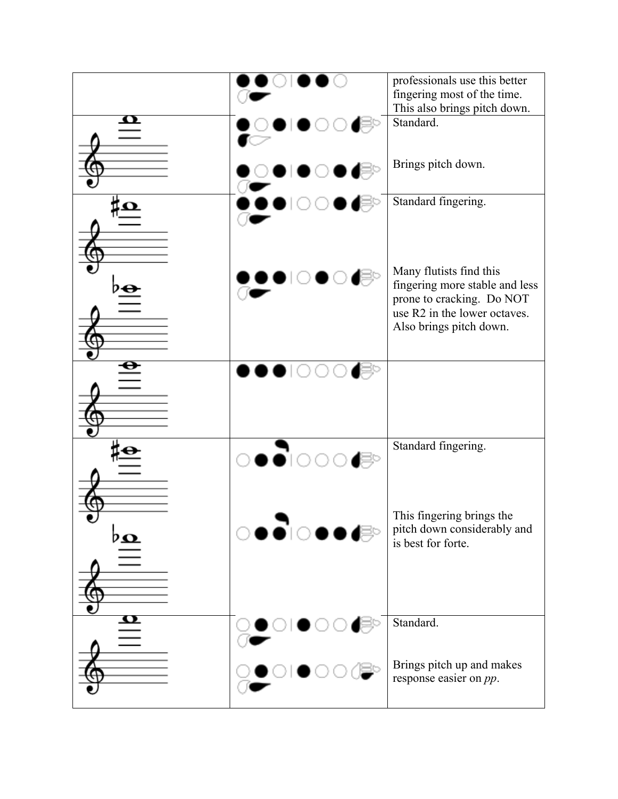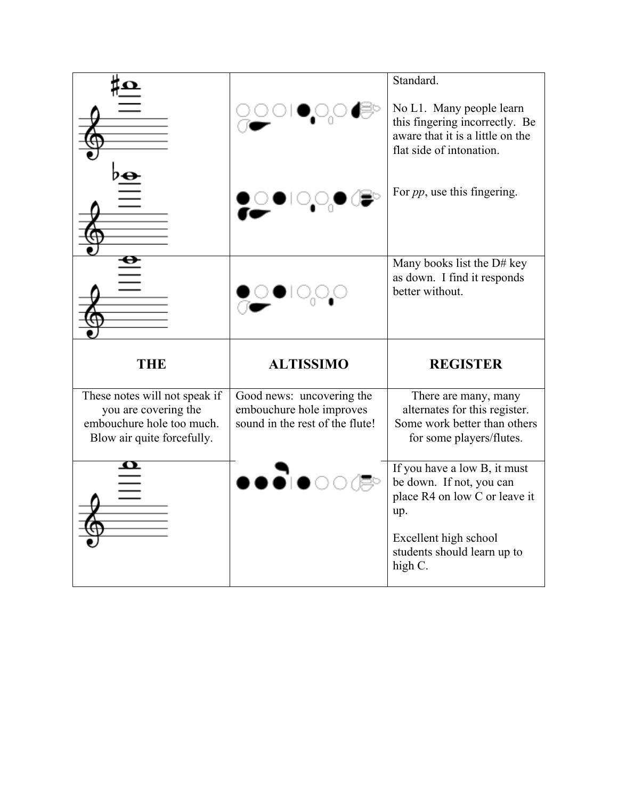|                                                                                                                  |                                                                                          | Standard.                                                                                                                  |
|------------------------------------------------------------------------------------------------------------------|------------------------------------------------------------------------------------------|----------------------------------------------------------------------------------------------------------------------------|
|                                                                                                                  |                                                                                          | No L1. Many people learn<br>this fingering incorrectly. Be<br>aware that it is a little on the<br>flat side of intonation. |
|                                                                                                                  |                                                                                          | For <i>pp</i> , use this fingering.                                                                                        |
|                                                                                                                  |                                                                                          | Many books list the D# key<br>as down. I find it responds<br>better without.                                               |
|                                                                                                                  |                                                                                          |                                                                                                                            |
| THE                                                                                                              | <b>ALTISSIMO</b>                                                                         | <b>REGISTER</b>                                                                                                            |
| These notes will not speak if<br>you are covering the<br>embouchure hole too much.<br>Blow air quite forcefully. | Good news: uncovering the<br>embouchure hole improves<br>sound in the rest of the flute! | There are many, many<br>alternates for this register.<br>Some work better than others<br>for some players/flutes.          |
|                                                                                                                  |                                                                                          | If you have a low B, it must<br>be down. If not, you can<br>place R4 on low C or leave it<br>up.                           |